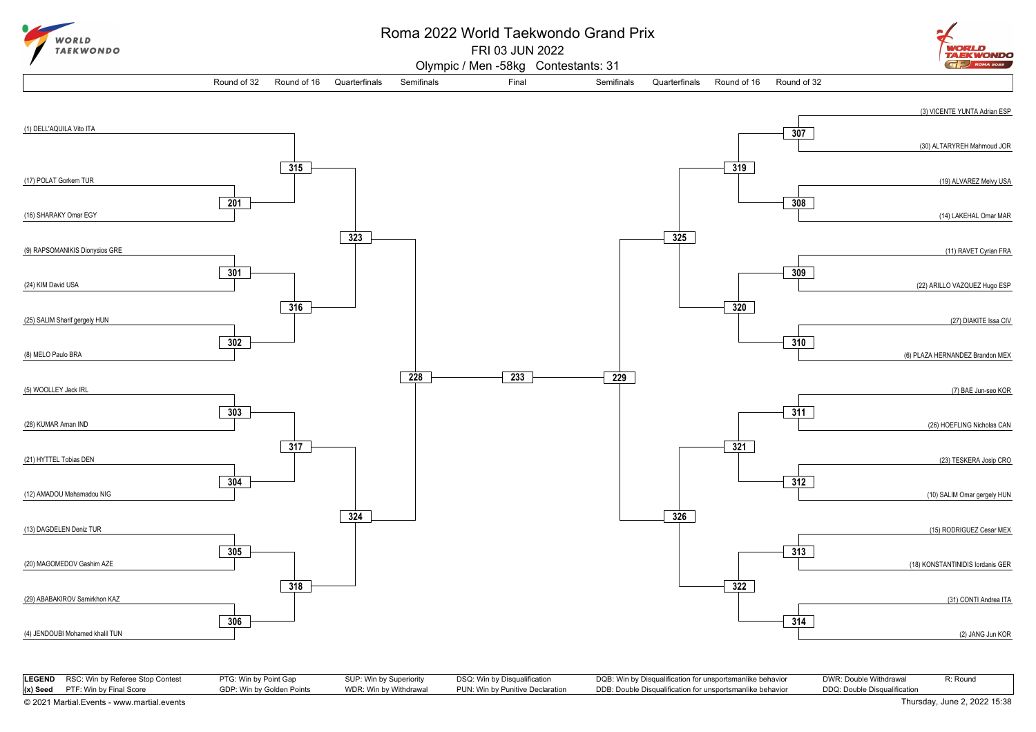

## Roma 2022 World Taekwondo Grand Prix

FRI 03 JUN 2022



Olympic / Men -58kg Contestants: 31



|                                            | <b>LEGEND</b> RSC: Win by Referee Stop Contest | PTG: Win by Point Gap     | SUP: Win by Superiority | DSQ: Win by Disqualification     | DQB: Win by Disqualification for unsportsmanlike behavior | DWR: Double Withdrawal       | R: Round |
|--------------------------------------------|------------------------------------------------|---------------------------|-------------------------|----------------------------------|-----------------------------------------------------------|------------------------------|----------|
|                                            | $(x)$ Seed PTF: Win by Final Score             | GDP: Win by Golden Points | WDR: Win by Withdrawal  | PUN: Win by Punitive Declaration | DDB: Double Disqualification for unsportsmanlike behavior | DDQ: Double Disqualification |          |
| © 2021 Martial.Events - www.martial.events |                                                |                           |                         |                                  | Thursday, June 2, 2022 15:38                              |                              |          |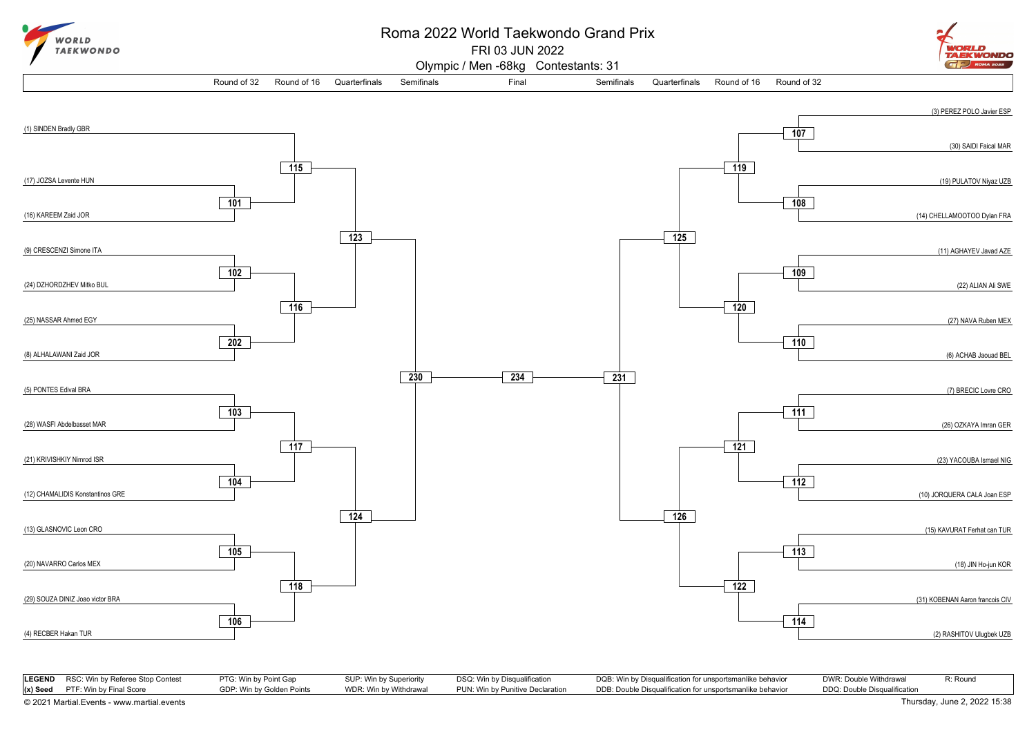

## Roma 2022 World Taekwondo Grand Prix

FRI 03 JUN 2022



Olympic / Men -68kg Contestants: 31



|                                            | LEGEND RSC: Win by Referee Stop Contest | PTG: Win by Point Gap     | SUP: Win by Superiority | DSQ: Win by Disqualification     | DQB: Win by Disqualification for unsportsmanlike behavior | DWR: Double Withdrawal       | R: Round |
|--------------------------------------------|-----------------------------------------|---------------------------|-------------------------|----------------------------------|-----------------------------------------------------------|------------------------------|----------|
|                                            | $(x)$ Seed PTF: Win by Final Score      | GDP: Win by Golden Points | WDR: Win by Withdrawal  | PUN: Win by Punitive Declaration | DDB: Double Disqualification for unsportsmanlike behavior | DDQ: Double Disqualification |          |
| © 2021 Martial.Events - www.martial.events |                                         |                           |                         |                                  |                                                           | Thursday, June 2, 2022 15:38 |          |